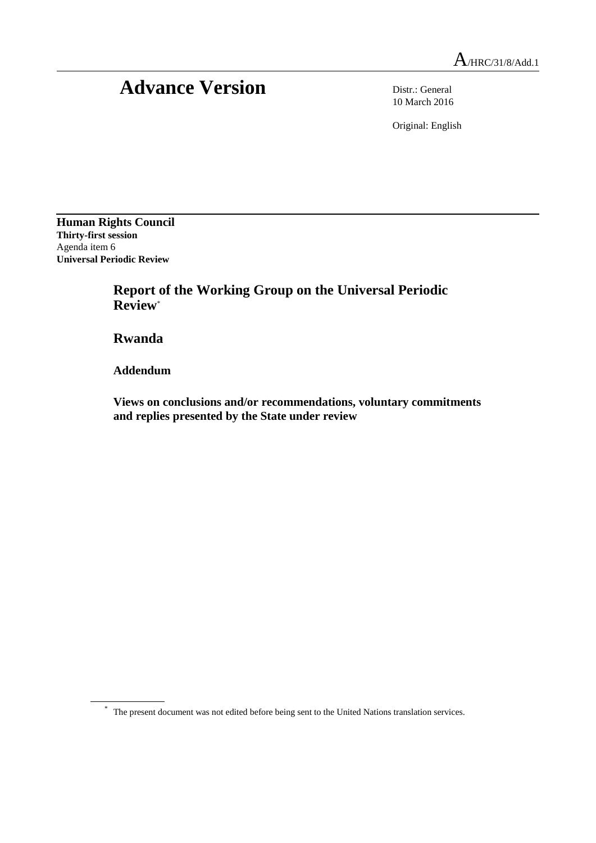## Advance Version Distr.: General

10 March 2016

Original: English

**Human Rights Council Thirty-first session** Agenda item 6 **Universal Periodic Review**

> **Report of the Working Group on the Universal Periodic Review**\*

**Rwanda**

**Addendum**

**Views on conclusions and/or recommendations, voluntary commitments and replies presented by the State under review**

\* The present document was not edited before being sent to the United Nations translation services.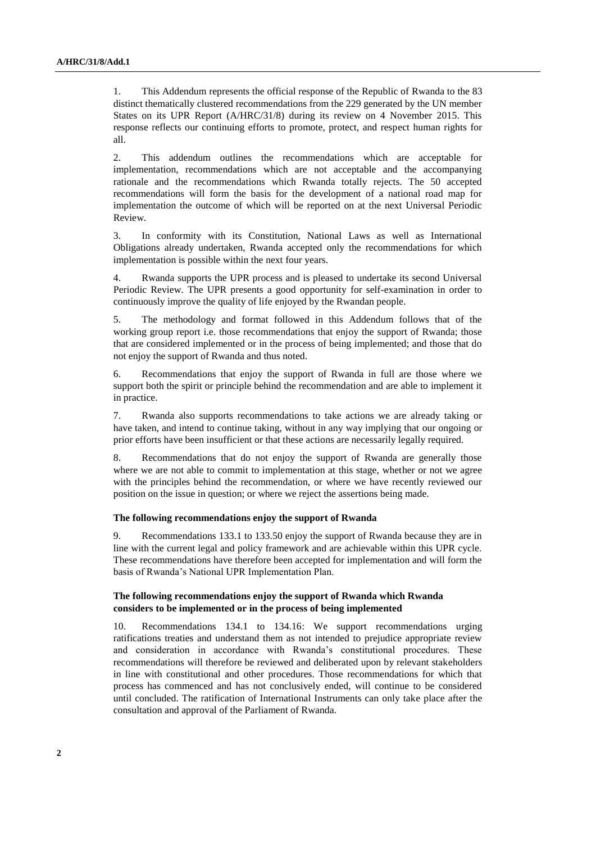1. This Addendum represents the official response of the Republic of Rwanda to the 83 distinct thematically clustered recommendations from the 229 generated by the UN member States on its UPR Report (A/HRC/31/8) during its review on 4 November 2015. This response reflects our continuing efforts to promote, protect, and respect human rights for all.

2. This addendum outlines the recommendations which are acceptable for implementation, recommendations which are not acceptable and the accompanying rationale and the recommendations which Rwanda totally rejects. The 50 accepted recommendations will form the basis for the development of a national road map for implementation the outcome of which will be reported on at the next Universal Periodic Review.

3. In conformity with its Constitution, National Laws as well as International Obligations already undertaken, Rwanda accepted only the recommendations for which implementation is possible within the next four years.

4. Rwanda supports the UPR process and is pleased to undertake its second Universal Periodic Review. The UPR presents a good opportunity for self-examination in order to continuously improve the quality of life enjoyed by the Rwandan people.

5. The methodology and format followed in this Addendum follows that of the working group report i.e. those recommendations that enjoy the support of Rwanda; those that are considered implemented or in the process of being implemented; and those that do not enjoy the support of Rwanda and thus noted.

6. Recommendations that enjoy the support of Rwanda in full are those where we support both the spirit or principle behind the recommendation and are able to implement it in practice.

7. Rwanda also supports recommendations to take actions we are already taking or have taken, and intend to continue taking, without in any way implying that our ongoing or prior efforts have been insufficient or that these actions are necessarily legally required.

8. Recommendations that do not enjoy the support of Rwanda are generally those where we are not able to commit to implementation at this stage, whether or not we agree with the principles behind the recommendation, or where we have recently reviewed our position on the issue in question; or where we reject the assertions being made.

## **The following recommendations enjoy the support of Rwanda**

9. Recommendations 133.1 to 133.50 enjoy the support of Rwanda because they are in line with the current legal and policy framework and are achievable within this UPR cycle. These recommendations have therefore been accepted for implementation and will form the basis of Rwanda's National UPR Implementation Plan.

## **The following recommendations enjoy the support of Rwanda which Rwanda considers to be implemented or in the process of being implemented**

10. Recommendations 134.1 to 134.16: We support recommendations urging ratifications treaties and understand them as not intended to prejudice appropriate review and consideration in accordance with Rwanda's constitutional procedures. These recommendations will therefore be reviewed and deliberated upon by relevant stakeholders in line with constitutional and other procedures. Those recommendations for which that process has commenced and has not conclusively ended, will continue to be considered until concluded. The ratification of International Instruments can only take place after the consultation and approval of the Parliament of Rwanda.